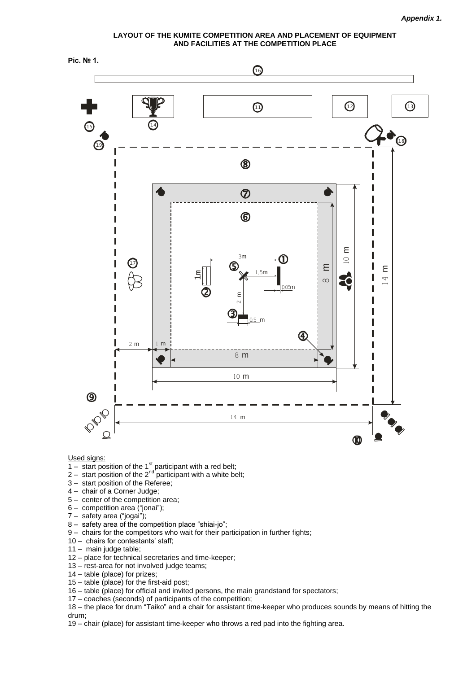**LAYOUT OF THE KUMITE COMPETITION AREA AND PLACEMENT OF EQUIPMENT AND FACILITIES AT THE COMPETITION PLACE** 



Used signs:

- $\frac{1}{1 \text{start position of the 1}^{\text{st}}$  participant with a red belt;
- 2 start position of the  $2^{nd}$  participant with a white belt;
- 3 start position of the Referee;
- 4 chair of a Corner Judge;
- 5 center of the competition area;
- 6 competition area ("jonai");
- 7 safety area ("jogai");
- 8 safety area of the competition place "shiai-jo";
- 9 chairs for the competitors who wait for their participation in further fights;
- 10 chairs for contestants' staff;
- 11 main judge table;
- 12 place for technical secretaries and time-keeper;
- 13 rest-area for not involved judge teams;
- 14 table (place) for prizes;
- 15 table (place) for the first-aid post;
- 16 table (place) for official and invited persons, the main grandstand for spectators;
- 17 coaches (seconds) of participants of the competition;

18 – the place for drum "Taiko" and a chair for assistant time-keeper who produces sounds by means of hitting the drum;

19 – chair (place) for assistant time-keeper who throws a red pad into the fighting area.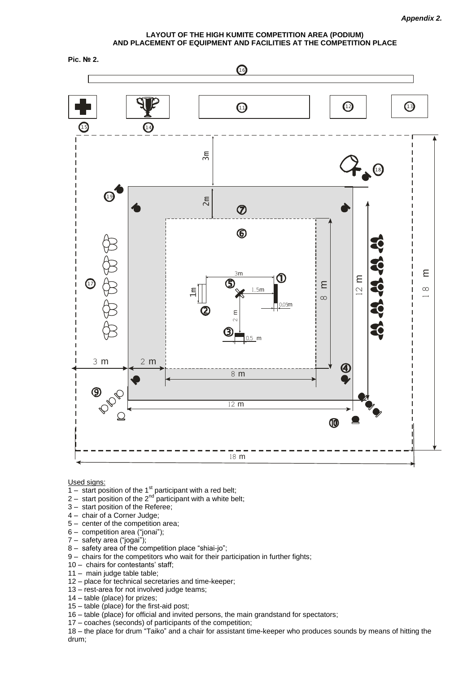**LAYOUT OF THE HIGH KUMITE COMPETITION AREA (PODIUM) AND PLACEMENT OF EQUIPMENT AND FACILITIES AT THE COMPETITION PLACE**



Used signs:

- $\frac{1}{1 \text{start position}}$  of the 1st participant with a red belt;
- 2 start position of the 2<sup>nd</sup> participant with a white belt;
- 3 start position of the Referee;
- 4 chair of a Corner Judge;
- 5 center of the competition area;
- 6 competition area ("jonai");
- 7 safety area ("jogai");
- 8 safety area of the competition place "shiai-jo";
- 9 chairs for the competitors who wait for their participation in further fights;
- 10 chairs for contestants' staff;
- 11 main judge table table;
- 12 place for technical secretaries and time-keeper;
- 13 rest-area for not involved judge teams;
- 14 table (place) for prizes;
- 15 table (place) for the first-aid post;
- 16 table (place) for official and invited persons, the main grandstand for spectators;
- 17 coaches (seconds) of participants of the competition;

18 – the place for drum "Taiko" and a chair for assistant time-keeper who produces sounds by means of hitting the drum;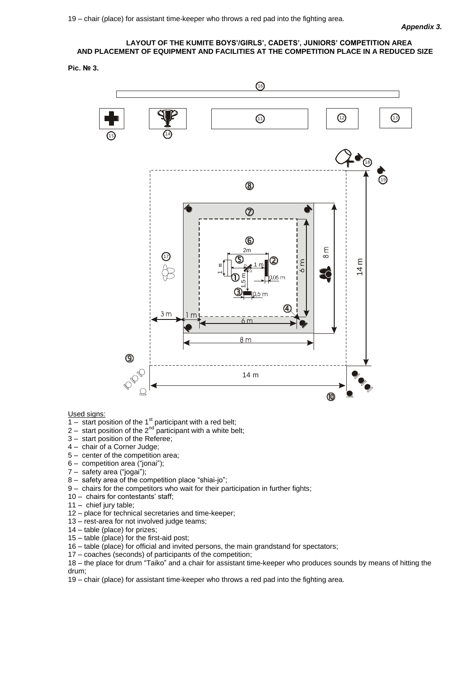## **LAYOUT OF THE KUMITE BOYS'/GIRLS', CADETS', JUNIORS' COMPETITION AREA AND PLACEMENT OF EQUIPMENT AND FACILITIES AT THE COMPETITION PLACE IN A REDUCED SIZE**

#### **Pic. № 3.**



Used signs:

- $\frac{1}{1 \text{start position of the 1}^{\text{st}}$  participant with a red belt;
- 2 start position of the  $2^{nd}$  participant with a white belt;
- 3 start position of the Referee;
- 4 chair of a Corner Judge;
- 5 center of the competition area;
- 6 competition area ("jonai");
- 7 safety area ("jogai");
- 8 safety area of the competition place "shiai-jo";
- 9 chairs for the competitors who wait for their participation in further fights;
- 10 chairs for contestants' staff;
- 11 chief jury table;
- 12 place for technical secretaries and time-keeper;
- 13 rest-area for not involved judge teams;
- 14 table (place) for prizes;
- 15 table (place) for the first-aid post;
- 16 table (place) for official and invited persons, the main grandstand for spectators;
- 17 coaches (seconds) of participants of the competition;

18 – the place for drum "Taiko" and a chair for assistant time-keeper who produces sounds by means of hitting the drum;

19 – chair (place) for assistant time-keeper who throws a red pad into the fighting area.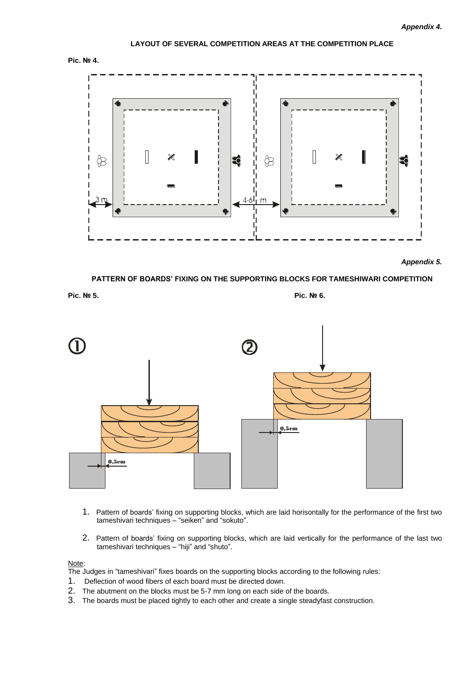# **LAYOUT OF SEVERAL COMPETITION AREAS AT THE COMPETITION PLACE**





*Appendix 5.*

**PATTERN OF BOARDS' FIXING ON THE SUPPORTING BLOCKS FOR TAMESHIWARI COMPETITION** 

**Pic. № 5. Pic. № 6.**



- 1. Pattern of boards' fixing on supporting blocks, which are laid horisontally for the performance of the first two tameshivari techniques – "seiken" and "sokuto".
- 2. Pattern of boards' fixing on supporting blocks, which are laid vertically for the performance of the last two tameshivari techniques – "hiji" and "shuto".

#### Note:

The Judges in "tameshivari" fixes boards on the supporting blocks according to the following rules:

- 1. Deflection of wood fibers of each board must be directed down.
- 2. The abutment on the blocks must be 5-7 mm long on each side of the boards.
- 3. The boards must be placed tightly to each other and create a single steadyfast construction.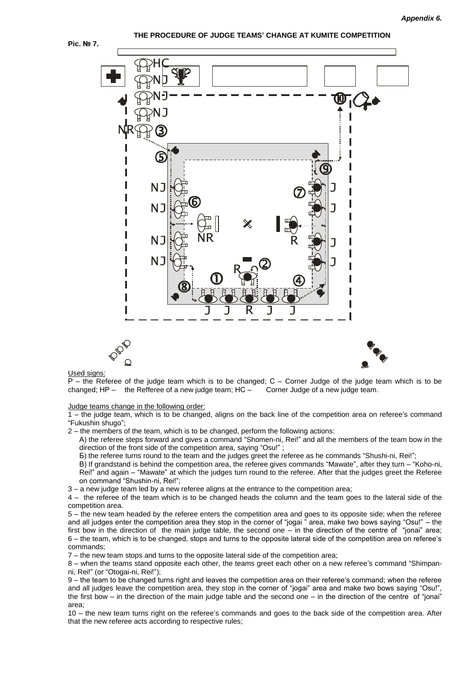

#### **THE PROCEDURE OF JUDGE TEAMS' CHANGE AT KUMITE COMPETITION**



#### Used signs:

 $P -$  the Referee of the judge team which is to be changed;  $C -$  Corner Judge of the judge team which is to be changed;  $HP -$  the Refferee of a new judge team;  $HC -$  Corner Judge of a new judge team.

Judge teams change in the following order:

1 – the judge team, which is to be changed, aligns on the back line of the competition area on referee's command "Fukushin shugo";

2 – the members of the team, which is to be changed, perform the following actions:

А) the referee steps forward and gives a command "Shomen-ni, Rei!" and all the members of the team bow in the direction of the front side of the competition area, saying "Osu!"

Б) the referee turns round to the team and the judges greet the referee as he commands "Shushi-ni, Rei!";

В) If grandstand is behind the competition area, the referee gives commands "Mawate", after they turn – "Koho-ni, Rei!" and again – "Mawate" at which the judges turn round to the referee. After that the judges greet the Referee on command "Shushin-ni, Rei!";

3 – a new judge team led by a new referee aligns at the entrance to the competition area;

4 – the referee of the team which is to be changed heads the column and the team goes to the lateral side of the competition area.

5 – the new team headed by the referee enters the competition area and goes to its opposite side; when the referee and all judges enter the competition area they stop in the corner of "jogai " area, make two bows saying "Osu!" – the first bow in the direction of the main judge table, the second one – in the direction of the centre of "jonai" area; 6 – the team, which is to be changed, stops and turns to the opposite lateral side of the competition area on referee's commands;

7 – the new team stops and turns to the opposite lateral side of the competition area;

8 – when the teams stand opposite each other, the teams greet each other on a new referee's command "Shimpanni, Rei!" (or "Otogai-ni, Rei!");

9 – the team to be changed turns right and leaves the competition area on their referee's command; when the referee and all judges leave the competition area, they stop in the corner of "jogai" area and make two bows saying "Osu!", the first bow – in the direction of the main judge table and the second one – in the direction of the centre of "jonai" area;

10 – the new team turns right on the referee's commands and goes to the back side of the competition area. After that the new referee acts according to respective rules;